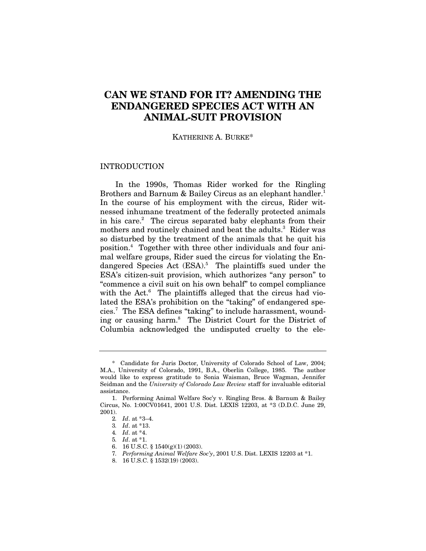# **CAN WE STAND FOR IT? AMENDING THE ENDANGERED SPECIES ACT WITH AN ANIMAL-SUIT PROVISION**

### KATHERINE A. BURKE\*

### INTRODUCTION

In the 1990s, Thomas Rider worked for the Ringling Brothers and Barnum & Bailey Circus as an elephant handler.<sup>1</sup> In the course of his employment with the circus, Rider witnessed inhumane treatment of the federally protected animals in his care.<sup>2</sup> The circus separated baby elephants from their mothers and routinely chained and beat the adults.<sup>3</sup> Rider was so disturbed by the treatment of the animals that he quit his position.4 Together with three other individuals and four animal welfare groups, Rider sued the circus for violating the Endangered Species Act (ESA).<sup>5</sup> The plaintiffs sued under the ESA's citizen-suit provision, which authorizes "any person" to "commence a civil suit on his own behalf" to compel compliance with the Act.<sup>6</sup> The plaintiffs alleged that the circus had violated the ESA's prohibition on the "taking" of endangered species.7 The ESA defines "taking" to include harassment, wounding or causing harm.8 The District Court for the District of Columbia acknowledged the undisputed cruelty to the ele-

<sup>\*</sup> Candidate for Juris Doctor, University of Colorado School of Law, 2004; M.A., University of Colorado, 1991, B.A., Oberlin College, 1985. The author would like to express gratitude to Sonia Waisman, Bruce Wagman, Jennifer Seidman and the *University of Colorado Law Review* staff for invaluable editorial assistance.

<sup>1.</sup> Performing Animal Welfare Soc'y v. Ringling Bros. & Barnum & Bailey Circus, No. 1:00CV01641, 2001 U.S. Dist. LEXIS 12203, at \*3 (D.D.C. June 29, 2001).

<sup>2</sup>*. Id*. at \*3–4.

<sup>3</sup>*. Id*. at \*13.

<sup>4</sup>*. Id*. at \*4.

<sup>5</sup>*. Id*. at \*1.

<sup>6. 16</sup> U.S.C. § 1540(g)(1) (2003).

<sup>7</sup>*. Performing Animal Welfare Soc'y*, 2001 U.S. Dist. LEXIS 12203 at \*1.

<sup>8. 16</sup> U.S.C. § 1532(19) (2003).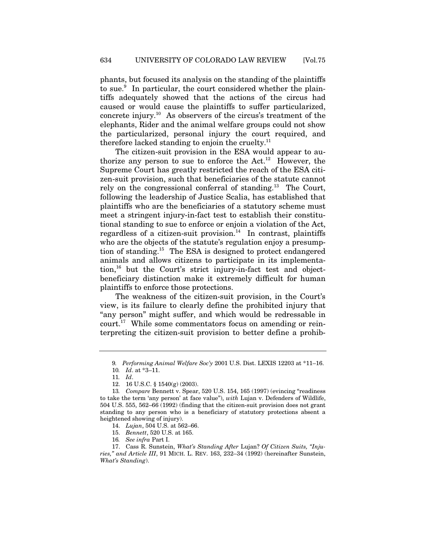phants, but focused its analysis on the standing of the plaintiffs to sue.<sup>9</sup> In particular, the court considered whether the plaintiffs adequately showed that the actions of the circus had caused or would cause the plaintiffs to suffer particularized, concrete injury.10 As observers of the circus's treatment of the elephants, Rider and the animal welfare groups could not show the particularized, personal injury the court required, and therefore lacked standing to enjoin the cruelty. $^{11}$ 

The citizen-suit provision in the ESA would appear to authorize any person to sue to enforce the  $Act.^{12}$  However, the Supreme Court has greatly restricted the reach of the ESA citizen-suit provision, such that beneficiaries of the statute cannot rely on the congressional conferral of standing.13 The Court, following the leadership of Justice Scalia, has established that plaintiffs who are the beneficiaries of a statutory scheme must meet a stringent injury-in-fact test to establish their constitutional standing to sue to enforce or enjoin a violation of the Act, regardless of a citizen-suit provision. $14$  In contrast, plaintiffs who are the objects of the statute's regulation enjoy a presumption of standing.15 The ESA is designed to protect endangered animals and allows citizens to participate in its implementation,<sup>16</sup> but the Court's strict injury-in-fact test and objectbeneficiary distinction make it extremely difficult for human plaintiffs to enforce those protections.

The weakness of the citizen-suit provision, in the Court's view, is its failure to clearly define the prohibited injury that "any person" might suffer, and which would be redressable in court.17 While some commentators focus on amending or reinterpreting the citizen-suit provision to better define a prohib-

<sup>9</sup>*. Performing Animal Welfare Soc'y* 2001 U.S. Dist. LEXIS 12203 at \*11–16.

<sup>10</sup>*. Id*. at \*3–11.

<sup>11</sup>*. Id*.

<sup>12. 16</sup> U.S.C. § 1540(g) (2003).

<sup>13</sup>*. Compare* Bennett v. Spear, 520 U.S. 154, 165 (1997) (evincing "readiness to take the term 'any person' at face value"), *with* Lujan v. Defenders of Wildlife, 504 U.S. 555, 562–66 (1992) (finding that the citizen-suit provision does not grant standing to any person who is a beneficiary of statutory protections absent a heightened showing of injury).

<sup>14.</sup> *Lujan*, 504 U.S. at 562–66.

<sup>15.</sup> *Bennett*, 520 U.S. at 165.

<sup>16</sup>*. See infra* Part I.

<sup>17.</sup> Cass R. Sunstein, *What's Standing After* Lujan? *Of Citizen Suits, "Injuries," and Article III*, 91 MICH. L. REV. 163, 232–34 (1992) (hereinafter Sunstein, *What's Standing*).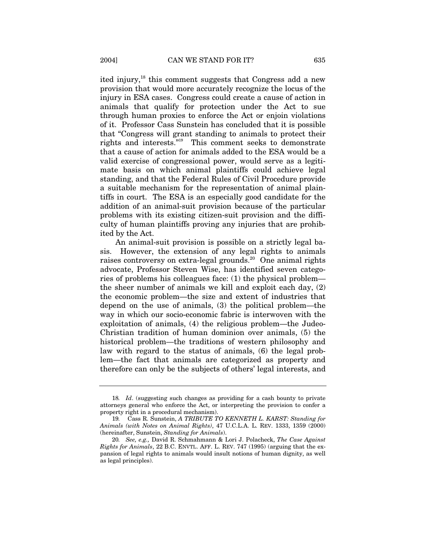ited injury,<sup>18</sup> this comment suggests that Congress add a new provision that would more accurately recognize the locus of the injury in ESA cases. Congress could create a cause of action in animals that qualify for protection under the Act to sue through human proxies to enforce the Act or enjoin violations of it. Professor Cass Sunstein has concluded that it is possible that "Congress will grant standing to animals to protect their rights and interests."19 This comment seeks to demonstrate that a cause of action for animals added to the ESA would be a valid exercise of congressional power, would serve as a legitimate basis on which animal plaintiffs could achieve legal standing, and that the Federal Rules of Civil Procedure provide a suitable mechanism for the representation of animal plaintiffs in court. The ESA is an especially good candidate for the addition of an animal-suit provision because of the particular problems with its existing citizen-suit provision and the difficulty of human plaintiffs proving any injuries that are prohibited by the Act.

An animal-suit provision is possible on a strictly legal basis. However, the extension of any legal rights to animals raises controversy on extra-legal grounds.<sup>20</sup> One animal rights advocate, Professor Steven Wise, has identified seven categories of problems his colleagues face: (1) the physical problem the sheer number of animals we kill and exploit each day, (2) the economic problem—the size and extent of industries that depend on the use of animals, (3) the political problem—the way in which our socio-economic fabric is interwoven with the exploitation of animals, (4) the religious problem—the Judeo-Christian tradition of human dominion over animals, (5) the historical problem—the traditions of western philosophy and law with regard to the status of animals, (6) the legal problem—the fact that animals are categorized as property and therefore can only be the subjects of others' legal interests, and

<sup>18</sup>*. Id*. (suggesting such changes as providing for a cash bounty to private attorneys general who enforce the Act, or interpreting the provision to confer a property right in a procedural mechanism).

<sup>19</sup>*.* Cass R. Sunstein, *A TRIBUTE TO KENNETH L. KARST: Standing for Animals (with Notes on Animal Rights)*, 47 U.C.L.A. L. REV. 1333, 1359 (2000) (hereinafter, Sunstein, *Standing for Animals*).

<sup>20</sup>*. See, e.g.,* David R. Schmahmann & Lori J. Polacheck, *The Case Against Rights for Animals*, 22 B.C. ENVTL. AFF. L. REV. 747 (1995) (arguing that the expansion of legal rights to animals would insult notions of human dignity, as well as legal principles).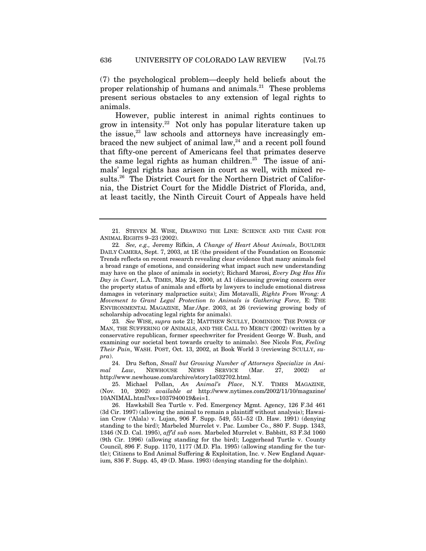(7) the psychological problem—deeply held beliefs about the proper relationship of humans and animals.<sup>21</sup> These problems present serious obstacles to any extension of legal rights to animals.

However, public interest in animal rights continues to grow in intensity.22 Not only has popular literature taken up the issue, $23$  law schools and attorneys have increasingly embraced the new subject of animal law, $24$  and a recent poll found that fifty-one percent of Americans feel that primates deserve the same legal rights as human children.<sup>25</sup> The issue of animals' legal rights has arisen in court as well, with mixed results.26 The District Court for the Northern District of California, the District Court for the Middle District of Florida, and, at least tacitly, the Ninth Circuit Court of Appeals have held

23*. See* WISE, *supra* note 21; MATTHEW SCULLY, DOMINION: THE POWER OF MAN, THE SUFFERING OF ANIMALS, AND THE CALL TO MERCY (2002) (written by a conservative republican, former speechwriter for President George W. Bush, and examining our societal bent towards cruelty to animals). See Nicols Fox, *Feeling Their Pain*, WASH. POST, Oct. 13, 2002, at Book World 3 (reviewing SCULLY, *supra*).

24. Dru Sefton, *Small but Growing Number of Attorneys Specialize in Animal Law*, NEWHOUSE NEWS SERVICE (Mar. 27, 2002) *at* http://www.newhouse.com/archive/story1a032702.html.

25. Michael Pollan, *An Animal's Place*, N.Y. TIMES MAGAZINE, (Nov. 10, 2002) *available at* http://www.nytimes.com/2002/11/10/magazine/ 10ANIMAL.html?ex=1037940019&ei=1.

26. Hawksbill Sea Turtle v. Fed. Emergency Mgmt. Agency, 126 F.3d 461 (3d Cir. 1997) (allowing the animal to remain a plaintiff without analysis); Hawaiian Crow ('Alala) v. Lujan, 906 F. Supp. 549, 551–52 (D. Haw. 1991) (denying standing to the bird); Marbeled Murrelet v. Pac. Lumber Co., 880 F. Supp. 1343, 1346 (N.D. Cal. 1995), *aff'd sub nom.* Marbeled Murrelet v. Babbitt, 83 F.3d 1060 (9th Cir. 1996) (allowing standing for the bird); Loggerhead Turtle v. County Council, 896 F. Supp. 1170, 1177 (M.D. Fla. 1995) (allowing standing for the turtle); Citizens to End Animal Suffering & Exploitation, Inc. v. New England Aquarium*,* 836 F. Supp. 45, 49 (D. Mass. 1993) (denying standing for the dolphin).

<sup>21.</sup> STEVEN M. WISE, DRAWING THE LINE: SCIENCE AND THE CASE FOR ANIMAL RIGHTS 9–23 (2002).

<sup>22</sup>*. See, e.g.,* Jeremy Rifkin, *A Change of Heart About Animals*, BOULDER DAILY CAMERA, Sept. 7, 2003, at 1E (the president of the Foundation on Economic Trends reflects on recent research revealing clear evidence that many animals feel a broad range of emotions, and considering what impact such new understanding may have on the place of animals in society); Richard Marosi, *Every Dog Has His Day in Court*, L.A. TIMES, May 24, 2000, at A1 (discussing growing concern over the property status of animals and efforts by lawyers to include emotional distress damages in veterinary malpractice suits); Jim Motavalli, *Rights From Wrong: A Movement to Grant Legal Protection to Animals is Gathering Force,* E: THE ENVIRONMENTAL MAGAZINE, Mar./Apr. 2003, at 26 (reviewing growing body of scholarship advocating legal rights for animals).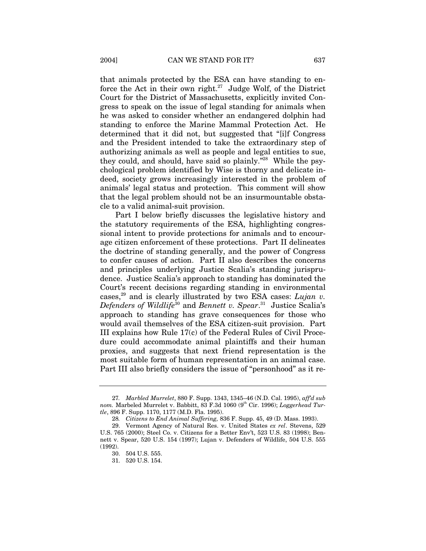that animals protected by the ESA can have standing to enforce the Act in their own right.<sup>27</sup> Judge Wolf, of the District Court for the District of Massachusetts, explicitly invited Congress to speak on the issue of legal standing for animals when he was asked to consider whether an endangered dolphin had standing to enforce the Marine Mammal Protection Act. He determined that it did not, but suggested that "[i]f Congress and the President intended to take the extraordinary step of authorizing animals as well as people and legal entities to sue, they could, and should, have said so plainly."<sup>28</sup> While the psychological problem identified by Wise is thorny and delicate indeed, society grows increasingly interested in the problem of animals' legal status and protection. This comment will show that the legal problem should not be an insurmountable obstacle to a valid animal-suit provision.

Part I below briefly discusses the legislative history and the statutory requirements of the ESA, highlighting congressional intent to provide protections for animals and to encourage citizen enforcement of these protections. Part II delineates the doctrine of standing generally, and the power of Congress to confer causes of action. Part II also describes the concerns and principles underlying Justice Scalia's standing jurisprudence. Justice Scalia's approach to standing has dominated the Court's recent decisions regarding standing in environmental cases,<sup>29</sup> and is clearly illustrated by two ESA cases: *Lujan v. Defenders of Wildlife*30 and *Bennett v. Spear*. 31 Justice Scalia's approach to standing has grave consequences for those who would avail themselves of the ESA citizen-suit provision. Part III explains how Rule 17(c) of the Federal Rules of Civil Procedure could accommodate animal plaintiffs and their human proxies, and suggests that next friend representation is the most suitable form of human representation in an animal case. Part III also briefly considers the issue of "personhood" as it re-

<sup>27</sup>*. Marbled Murrelet*, 880 F. Supp. 1343, 1345–46 (N.D. Cal. 1995), *aff'd sub nom.* Marbeled Murrelet v. Babbitt, 83 F.3d 1060 (9<sup>th</sup> Cir. 1996); *Loggerhead Turtle*, 896 F. Supp. 1170, 1177 (M.D. Fla. 1995).

<sup>28</sup>*. Citizens to End Animal Suffering,* 836 F. Supp. 45, 49 (D. Mass. 1993).

<sup>29.</sup> Vermont Agency of Natural Res. v. United States *ex rel*. Stevens, 529 U.S. 765 (2000); Steel Co. v. Citizens for a Better Env't, 523 U.S. 83 (1998); Bennett v. Spear, 520 U.S. 154 (1997); Lujan v. Defenders of Wildlife, 504 U.S. 555 (1992).

<sup>30. 504</sup> U.S. 555.

<sup>31. 520</sup> U.S. 154.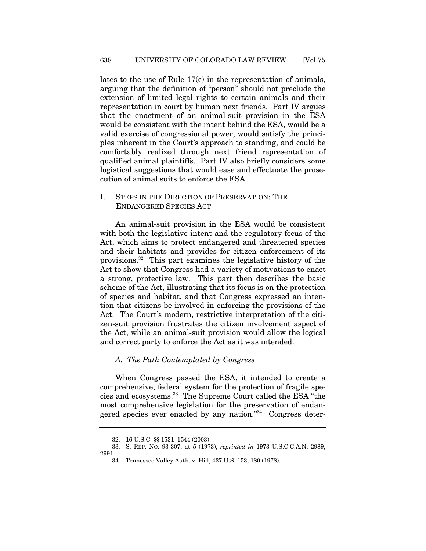lates to the use of Rule 17(c) in the representation of animals, arguing that the definition of "person" should not preclude the extension of limited legal rights to certain animals and their representation in court by human next friends. Part IV argues that the enactment of an animal-suit provision in the ESA would be consistent with the intent behind the ESA, would be a valid exercise of congressional power, would satisfy the principles inherent in the Court's approach to standing, and could be comfortably realized through next friend representation of qualified animal plaintiffs. Part IV also briefly considers some logistical suggestions that would ease and effectuate the prosecution of animal suits to enforce the ESA.

# I. STEPS IN THE DIRECTION OF PRESERVATION: THE ENDANGERED SPECIES ACT

An animal-suit provision in the ESA would be consistent with both the legislative intent and the regulatory focus of the Act, which aims to protect endangered and threatened species and their habitats and provides for citizen enforcement of its provisions.32 This part examines the legislative history of the Act to show that Congress had a variety of motivations to enact a strong, protective law. This part then describes the basic scheme of the Act, illustrating that its focus is on the protection of species and habitat, and that Congress expressed an intention that citizens be involved in enforcing the provisions of the Act. The Court's modern, restrictive interpretation of the citizen-suit provision frustrates the citizen involvement aspect of the Act, while an animal-suit provision would allow the logical and correct party to enforce the Act as it was intended.

# *A. The Path Contemplated by Congress*

When Congress passed the ESA, it intended to create a comprehensive, federal system for the protection of fragile species and ecosystems.33 The Supreme Court called the ESA "the most comprehensive legislation for the preservation of endangered species ever enacted by any nation."34 Congress deter-

<sup>32. 16</sup> U.S.C. §§ 1531–1544 (2003).

<sup>33.</sup> S. REP. NO. 93-307, at 5 (1973), *reprinted in* 1973 U.S.C.C.A.N. 2989, 2991.

<sup>34.</sup> Tennessee Valley Auth. v. Hill, 437 U.S. 153, 180 (1978).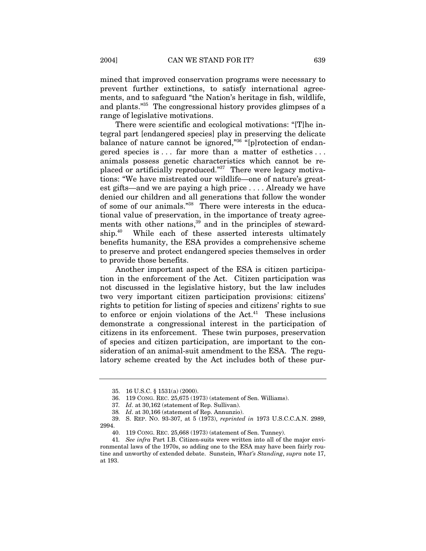mined that improved conservation programs were necessary to prevent further extinctions, to satisfy international agreements, and to safeguard "the Nation's heritage in fish, wildlife, and plants."35 The congressional history provides glimpses of a range of legislative motivations.

There were scientific and ecological motivations: "[T]he integral part [endangered species] play in preserving the delicate balance of nature cannot be ignored,"36 "[p]rotection of endangered species is . . . far more than a matter of esthetics . . . animals possess genetic characteristics which cannot be replaced or artificially reproduced."37 There were legacy motivations: "We have mistreated our wildlife—one of nature's greatest gifts—and we are paying a high price . . . . Already we have denied our children and all generations that follow the wonder of some of our animals."38 There were interests in the educational value of preservation, in the importance of treaty agreements with other nations,<sup>39</sup> and in the principles of stewardship.<sup>40</sup> While each of these asserted interests ultimately benefits humanity, the ESA provides a comprehensive scheme to preserve and protect endangered species themselves in order to provide those benefits.

Another important aspect of the ESA is citizen participation in the enforcement of the Act. Citizen participation was not discussed in the legislative history, but the law includes two very important citizen participation provisions: citizens' rights to petition for listing of species and citizens' rights to sue to enforce or enjoin violations of the  $Act<sup>41</sup>$  These inclusions demonstrate a congressional interest in the participation of citizens in its enforcement. These twin purposes, preservation of species and citizen participation, are important to the consideration of an animal-suit amendment to the ESA. The regulatory scheme created by the Act includes both of these pur-

<sup>35. 16</sup> U.S.C. § 1531(a) (2000).

<sup>36. 119</sup> CONG. REC. 25,675 (1973) (statement of Sen. Williams).

<sup>37</sup>*. Id*. at 30,162 (statement of Rep. Sullivan).

<sup>38</sup>*. Id*. at 30,166 (statement of Rep. Annunzio).

<sup>39.</sup> S. REP. NO. 93-307, at 5 (1973), *reprinted in* 1973 U.S.C.C.A.N. 2989, 2994.

<sup>40. 119</sup> CONG. REC. 25,668 (1973) (statement of Sen. Tunney).

<sup>41</sup>*. See infra* Part I.B. Citizen-suits were written into all of the major environmental laws of the 1970s, so adding one to the ESA may have been fairly routine and unworthy of extended debate. Sunstein, *What's Standing*, *supra* note 17, at 193.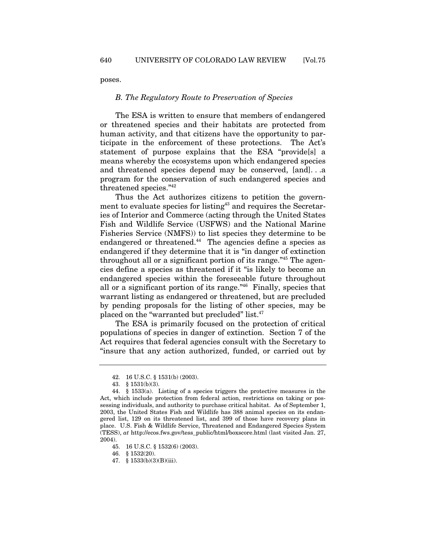poses.

### *B. The Regulatory Route to Preservation of Species*

The ESA is written to ensure that members of endangered or threatened species and their habitats are protected from human activity, and that citizens have the opportunity to participate in the enforcement of these protections. The Act's statement of purpose explains that the ESA "provide[s] a means whereby the ecosystems upon which endangered species and threatened species depend may be conserved, [and]. . .a program for the conservation of such endangered species and threatened species."<sup>42</sup>

Thus the Act authorizes citizens to petition the government to evaluate species for listing<sup>43</sup> and requires the Secretaries of Interior and Commerce (acting through the United States Fish and Wildlife Service (USFWS) and the National Marine Fisheries Service (NMFS)) to list species they determine to be endangered or threatened.<sup>44</sup> The agencies define a species as endangered if they determine that it is "in danger of extinction throughout all or a significant portion of its range."45 The agencies define a species as threatened if it "is likely to become an endangered species within the foreseeable future throughout all or a significant portion of its range."46 Finally, species that warrant listing as endangered or threatened, but are precluded by pending proposals for the listing of other species, may be placed on the "warranted but precluded" list.<sup>47</sup>

The ESA is primarily focused on the protection of critical populations of species in danger of extinction. Section 7 of the Act requires that federal agencies consult with the Secretary to "insure that any action authorized, funded, or carried out by

46. § 1532(20).

<sup>42. 16</sup> U.S.C. § 1531(b) (2003).

<sup>43. § 1531(</sup>b)(3).

<sup>44. § 1533(</sup>a). Listing of a species triggers the protective measures in the Act, which include protection from federal action, restrictions on taking or possessing individuals, and authority to purchase critical habitat. As of September 1, 2003, the United States Fish and Wildlife has 388 animal species on its endangered list, 129 on its threatened list, and 399 of those have recovery plans in place. U.S. Fish & Wildlife Service, Threatened and Endangered Species System (TESS), *at* http://ecos.fws.gov/tess\_public/html/boxscore.html (last visited Jan. 27, 2004).

<sup>45. 16</sup> U.S.C. § 1532(6) (2003).

<sup>47. § 1533(</sup>b)(3)(B)(iii).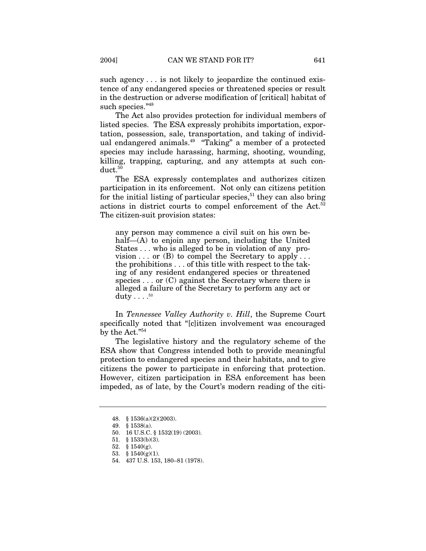such agency . . . is not likely to jeopardize the continued existence of any endangered species or threatened species or result in the destruction or adverse modification of [critical] habitat of such species."<sup>48</sup>

The Act also provides protection for individual members of listed species. The ESA expressly prohibits importation, exportation, possession, sale, transportation, and taking of individual endangered animals.49 "Taking" a member of a protected species may include harassing, harming, shooting, wounding, killing, trapping, capturing, and any attempts at such conduct.<sup>50</sup>

The ESA expressly contemplates and authorizes citizen participation in its enforcement. Not only can citizens petition for the initial listing of particular species, $51$  they can also bring actions in district courts to compel enforcement of the Act.52 The citizen-suit provision states:

any person may commence a civil suit on his own behalf—(A) to enjoin any person, including the United States . . . who is alleged to be in violation of any provision  $\ldots$  or (B) to compel the Secretary to apply  $\ldots$ the prohibitions . . . of this title with respect to the taking of any resident endangered species or threatened species  $\ldots$  or (C) against the Secretary where there is alleged a failure of the Secretary to perform any act or duty  $\ldots$ .<sup>53</sup>

In *Tennessee Valley Authority v. Hill*, the Supreme Court specifically noted that "[c]itizen involvement was encouraged by the Act."54

The legislative history and the regulatory scheme of the ESA show that Congress intended both to provide meaningful protection to endangered species and their habitats, and to give citizens the power to participate in enforcing that protection. However, citizen participation in ESA enforcement has been impeded, as of late, by the Court's modern reading of the citi-

<sup>48. § 1536(</sup>a)(2)(2003).

<sup>49. § 1538(</sup>a).

<sup>50. 16</sup> U.S.C. § 1532(19) (2003).

<sup>51. § 1533(</sup>b)(3).

<sup>52. § 1540(</sup>g).

<sup>53. § 1540(</sup>g)(1).

<sup>54. 437</sup> U.S. 153, 180–81 (1978).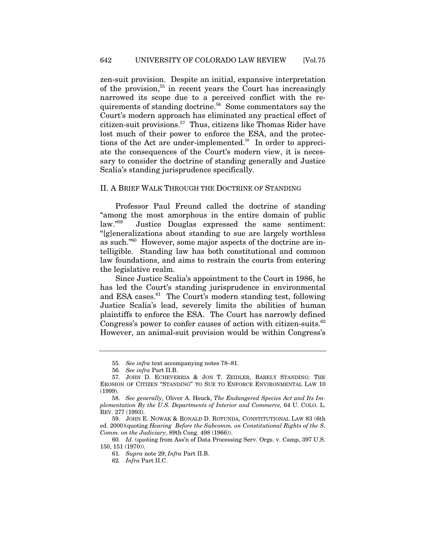zen-suit provision. Despite an initial, expansive interpretation of the provision,55 in recent years the Court has increasingly narrowed its scope due to a perceived conflict with the requirements of standing doctrine.<sup>56</sup> Some commentators say the Court's modern approach has eliminated any practical effect of citizen-suit provisions.57 Thus, citizens like Thomas Rider have lost much of their power to enforce the ESA, and the protections of the Act are under-implemented.<sup>58</sup> In order to appreciate the consequences of the Court's modern view, it is necessary to consider the doctrine of standing generally and Justice Scalia's standing jurisprudence specifically.

# II. A BRIEF WALK THROUGH THE DOCTRINE OF STANDING

Professor Paul Freund called the doctrine of standing "among the most amorphous in the entire domain of public law."59 Justice Douglas expressed the same sentiment: "[g]eneralizations about standing to sue are largely worthless as such."60 However, some major aspects of the doctrine are intelligible. Standing law has both constitutional and common law foundations, and aims to restrain the courts from entering the legislative realm.

Since Justice Scalia's appointment to the Court in 1986, he has led the Court's standing jurisprudence in environmental and ESA cases. $61$  The Court's modern standing test, following Justice Scalia's lead, severely limits the abilities of human plaintiffs to enforce the ESA. The Court has narrowly defined Congress's power to confer causes of action with citizen-suits.<sup>62</sup> However, an animal-suit provision would be within Congress's

<sup>55</sup>*. See infra* text accompanying notes 78–81.

<sup>56</sup>*. See infra* Part II.B.

<sup>57.</sup> JOHN D. ECHEVERRIA & JON T. ZEIDLER, BARELY STANDING: THE EROSION OF CITIZEN "STANDING" TO SUE TO ENFORCE ENVIRONMENTAL LAW 10 (1999).

<sup>58.</sup> *See generally*, Oliver A. Houck, *The Endangered Species Act and Its Implementation By the U.S. Departments of Interior and Commerce,* 64 U. COLO. L. REV. 277 (1993).

<sup>59.</sup> JOHN E. NOWAK & RONALD D. ROTUNDA, CONSTITUTIONAL LAW 83 (6th ed. 2000)(quoting *Hearing Before the Subcomm. on Constitutional Rights of the S. Comm. on the Judiciary*, 89th Cong. 498 (1966)).

<sup>60</sup>*. Id*. (quoting from Ass'n of Data Processing Serv. Orgs. v. Camp, 397 U.S. 150, 151 (1970)).

<sup>61</sup>*. Supra* note 29; *Infra* Part II.B.

<sup>62</sup>*. Infra* Part II.C.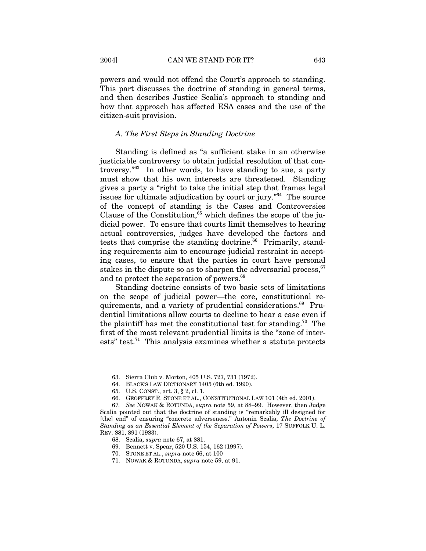powers and would not offend the Court's approach to standing. This part discusses the doctrine of standing in general terms, and then describes Justice Scalia's approach to standing and how that approach has affected ESA cases and the use of the citizen-suit provision.

# *A. The First Steps in Standing Doctrine*

Standing is defined as "a sufficient stake in an otherwise justiciable controversy to obtain judicial resolution of that controversy."63 In other words, to have standing to sue, a party must show that his own interests are threatened. Standing gives a party a "right to take the initial step that frames legal issues for ultimate adjudication by court or jury."64 The source of the concept of standing is the Cases and Controversies Clause of the Constitution,  $65$  which defines the scope of the judicial power. To ensure that courts limit themselves to hearing actual controversies, judges have developed the factors and tests that comprise the standing doctrine. $66$  Primarily, standing requirements aim to encourage judicial restraint in accepting cases, to ensure that the parties in court have personal stakes in the dispute so as to sharpen the adversarial process,  $67$ and to protect the separation of powers.<sup>68</sup>

Standing doctrine consists of two basic sets of limitations on the scope of judicial power—the core, constitutional requirements, and a variety of prudential considerations.<sup>69</sup> Prudential limitations allow courts to decline to hear a case even if the plaintiff has met the constitutional test for standing.<sup>70</sup> The first of the most relevant prudential limits is the "zone of interests" test. $71$  This analysis examines whether a statute protects

<sup>63.</sup> Sierra Club v. Morton, 405 U.S. 727, 731 (1972).

<sup>64.</sup> BLACK'S LAW DICTIONARY 1405 (6th ed. 1990).

<sup>65.</sup> U.S. CONST., art. 3, § 2, cl. 1.

<sup>66.</sup> GEOFFREY R. STONE ET AL., CONSTITUTIONAL LAW 101 (4th ed. 2001).

<sup>67</sup>*. See* NOWAK & ROTUNDA, *supra* note 59, at 88–99. However, then Judge Scalia pointed out that the doctrine of standing is "remarkably ill designed for [the] end" of ensuring "concrete adverseness." Antonin Scalia, *The Doctrine of Standing as an Essential Element of the Separation of Powers*, 17 SUFFOLK U. L. REV. 881, 891 (1983).

<sup>68.</sup> Scalia, *supra* note 67, at 881.

<sup>69.</sup> Bennett v. Spear, 520 U.S. 154, 162 (1997).

<sup>70.</sup> STONE ET AL., *supra* note 66, at 100

<sup>71.</sup> NOWAK & ROTUNDA, *supra* note 59, at 91.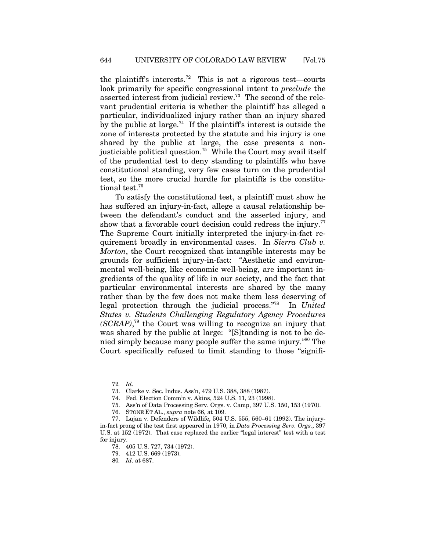the plaintiff's interests.<sup>72</sup> This is not a rigorous test—courts look primarily for specific congressional intent to *preclude* the asserted interest from judicial review.73 The second of the relevant prudential criteria is whether the plaintiff has alleged a particular, individualized injury rather than an injury shared by the public at large.<sup>74</sup> If the plaintiff's interest is outside the zone of interests protected by the statute and his injury is one shared by the public at large, the case presents a nonjusticiable political question.<sup>75</sup> While the Court may avail itself of the prudential test to deny standing to plaintiffs who have constitutional standing, very few cases turn on the prudential test, so the more crucial hurdle for plaintiffs is the constitutional test.<sup>76</sup>

To satisfy the constitutional test, a plaintiff must show he has suffered an injury-in-fact, allege a causal relationship between the defendant's conduct and the asserted injury, and show that a favorable court decision could redress the injury.<sup>77</sup> The Supreme Court initially interpreted the injury-in-fact requirement broadly in environmental cases. In *Sierra Club v. Morton*, the Court recognized that intangible interests may be grounds for sufficient injury-in-fact: "Aesthetic and environmental well-being, like economic well-being, are important ingredients of the quality of life in our society, and the fact that particular environmental interests are shared by the many rather than by the few does not make them less deserving of legal protection through the judicial process."78 In *United States v. Students Challenging Regulatory Agency Procedures (SCRAP)*, 79 the Court was willing to recognize an injury that was shared by the public at large: "[S]tanding is not to be denied simply because many people suffer the same injury."80 The Court specifically refused to limit standing to those "signifi-

<sup>72</sup>*. Id*.

<sup>73.</sup> Clarke v. Sec. Indus. Ass'n, 479 U.S. 388, 388 (1987).

<sup>74.</sup> Fed. Election Comm'n v. Akins, 524 U.S. 11, 23 (1998).

<sup>75.</sup> Ass'n of Data Processing Serv. Orgs. v. Camp, 397 U.S. 150, 153 (1970).

<sup>76.</sup> STONE ET AL., *supra* note 66, at 109.

<sup>77.</sup> Lujan v. Defenders of Wildlife, 504 U.S. 555, 560–61 (1992). The injuryin-fact prong of the test first appeared in 1970, in *Data Processing Serv. Orgs.*, 397 U.S. at 152 (1972). That case replaced the earlier "legal interest" test with a test for injury.

<sup>78. 405</sup> U.S. 727, 734 (1972).

<sup>79. 412</sup> U.S. 669 (1973).

<sup>80</sup>*. Id*. at 687.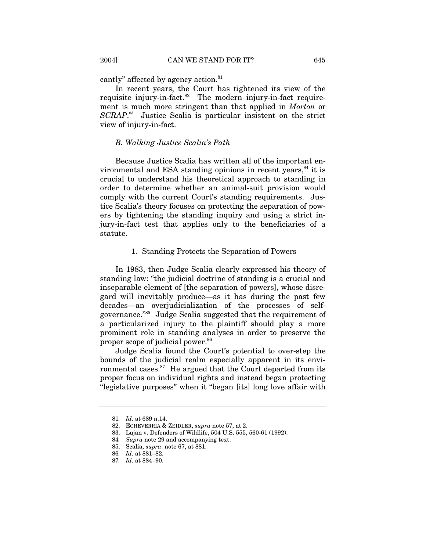cantly" affected by agency action.<sup>81</sup>

In recent years, the Court has tightened its view of the requisite injury-in-fact.<sup>82</sup> The modern injury-in-fact requirement is much more stringent than that applied in *Morton* or *SCRAP*. 83 Justice Scalia is particular insistent on the strict view of injury-in-fact.

### *B. Walking Justice Scalia's Path*

Because Justice Scalia has written all of the important environmental and ESA standing opinions in recent years, $^{84}$  it is crucial to understand his theoretical approach to standing in order to determine whether an animal-suit provision would comply with the current Court's standing requirements. Justice Scalia's theory focuses on protecting the separation of powers by tightening the standing inquiry and using a strict injury-in-fact test that applies only to the beneficiaries of a statute.

### 1. Standing Protects the Separation of Powers

In 1983, then Judge Scalia clearly expressed his theory of standing law: "the judicial doctrine of standing is a crucial and inseparable element of [the separation of powers], whose disregard will inevitably produce—as it has during the past few decades—an overjudicialization of the processes of selfgovernance."85 Judge Scalia suggested that the requirement of a particularized injury to the plaintiff should play a more prominent role in standing analyses in order to preserve the proper scope of judicial power.<sup>86</sup>

Judge Scalia found the Court's potential to over-step the bounds of the judicial realm especially apparent in its environmental cases. $87$  He argued that the Court departed from its proper focus on individual rights and instead began protecting "legislative purposes" when it "began [its] long love affair with

<sup>81</sup>*. Id*. at 689 n.14.

<sup>82.</sup> ECHEVERRIA & ZEIDLER, *supra* note 57, at 2.

<sup>83.</sup> Lujan v. Defenders of Wildlife, 504 U.S. 555, 560-61 (1992).

<sup>84</sup>*. Supra* note 29 and accompanying text.

<sup>85.</sup> Scalia, *supra* note 67, at 881.

<sup>86</sup>*. Id*. at 881–82.

<sup>87</sup>*. Id*. at 884–90.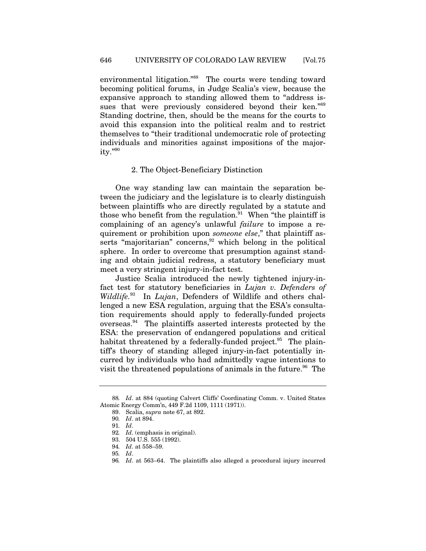environmental litigation."<sup>88</sup> The courts were tending toward becoming political forums, in Judge Scalia's view, because the expansive approach to standing allowed them to "address issues that were previously considered beyond their ken."89 Standing doctrine, then, should be the means for the courts to avoid this expansion into the political realm and to restrict themselves to "their traditional undemocratic role of protecting individuals and minorities against impositions of the majority."90

#### 2. The Object-Beneficiary Distinction

One way standing law can maintain the separation between the judiciary and the legislature is to clearly distinguish between plaintiffs who are directly regulated by a statute and those who benefit from the regulation. $91$  When "the plaintiff is complaining of an agency's unlawful *failure* to impose a requirement or prohibition upon *someone else*," that plaintiff asserts "majoritarian" concerns,  $92$  which belong in the political sphere. In order to overcome that presumption against standing and obtain judicial redress, a statutory beneficiary must meet a very stringent injury-in-fact test.

Justice Scalia introduced the newly tightened injury-infact test for statutory beneficiaries in *Lujan v. Defenders of Wildlife.*93 In *Lujan*, Defenders of Wildlife and others challenged a new ESA regulation, arguing that the ESA's consultation requirements should apply to federally-funded projects overseas.94 The plaintiffs asserted interests protected by the ESA: the preservation of endangered populations and critical habitat threatened by a federally-funded project. $95$  The plaintiff's theory of standing alleged injury-in-fact potentially incurred by individuals who had admittedly vague intentions to visit the threatened populations of animals in the future.<sup>96</sup> The

<sup>88</sup>*. Id*. at 884 (quoting Calvert Cliffs' Coordinating Comm. v. United States Atomic Energy Comm'n, 449 F.2d 1109, 1111 (1971)).

<sup>89.</sup> Scalia, *supra* note 67, at 892.

<sup>90</sup>*. Id*. at 894.

<sup>91</sup>*. Id*.

<sup>92</sup>*. Id*. (emphasis in original).

<sup>93. 504</sup> U.S. 555 (1992).

<sup>94</sup>*. Id*. at 558–59.

<sup>95</sup>*. Id*.

<sup>96</sup>*. Id*. at 563–64. The plaintiffs also alleged a procedural injury incurred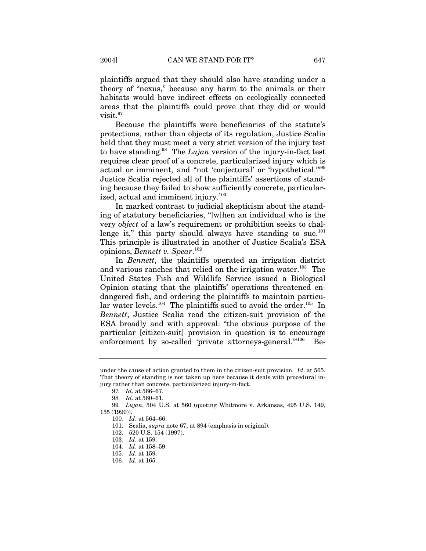plaintiffs argued that they should also have standing under a theory of "nexus," because any harm to the animals or their habitats would have indirect effects on ecologically connected areas that the plaintiffs could prove that they did or would visit.<sup>97</sup>

Because the plaintiffs were beneficiaries of the statute's protections, rather than objects of its regulation, Justice Scalia held that they must meet a very strict version of the injury test to have standing.98 The *Lujan* version of the injury-in-fact test requires clear proof of a concrete, particularized injury which is actual or imminent, and "not 'conjectural' or 'hypothetical.'"99 Justice Scalia rejected all of the plaintiffs' assertions of standing because they failed to show sufficiently concrete, particularized, actual and imminent injury.<sup>100</sup>

In marked contrast to judicial skepticism about the standing of statutory beneficiaries, "[w]hen an individual who is the very *object* of a law's requirement or prohibition seeks to challenge it," this party should always have standing to sue. $101$ This principle is illustrated in another of Justice Scalia's ESA opinions, *Bennett v. Spear*. 102

In *Bennett*, the plaintiffs operated an irrigation district and various ranches that relied on the irrigation water.<sup>103</sup> The United States Fish and Wildlife Service issued a Biological Opinion stating that the plaintiffs' operations threatened endangered fish, and ordering the plaintiffs to maintain particular water levels.<sup>104</sup> The plaintiffs sued to avoid the order.<sup>105</sup> In *Bennett*, Justice Scalia read the citizen-suit provision of the ESA broadly and with approval: "the obvious purpose of the particular [citizen-suit] provision in question is to encourage enforcement by so-called 'private attorneys-general."<sup>106</sup> Be-

101. Scalia, *supra* note 67, at 894 (emphasis in original).

under the cause of action granted to them in the citizen-suit provision. *Id*. at 565. That theory of standing is not taken up here because it deals with procedural injury rather than concrete, particularized injury-in-fact.

<sup>97</sup>*. Id*. at 566–67.

<sup>98</sup>*. Id*. at 560–61.

<sup>99</sup>*. Lujan*, 504 U.S. at 560 (quoting Whitmore v. Arkansas, 495 U.S. 149, 155 (1990)).

<sup>100</sup>*. Id*. at 564–66.

<sup>102. 520</sup> U.S. 154 (1997).

<sup>103</sup>*. Id*. at 159.

<sup>104</sup>*. Id*. at 158–59.

<sup>105</sup>*. Id*. at 159.

<sup>106</sup>*. Id*. at 165.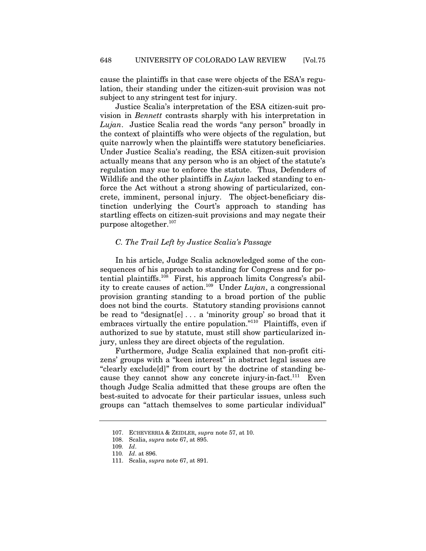cause the plaintiffs in that case were objects of the ESA's regulation, their standing under the citizen-suit provision was not subject to any stringent test for injury.

Justice Scalia's interpretation of the ESA citizen-suit provision in *Bennett* contrasts sharply with his interpretation in *Lujan*. Justice Scalia read the words "any person" broadly in the context of plaintiffs who were objects of the regulation, but quite narrowly when the plaintiffs were statutory beneficiaries. Under Justice Scalia's reading, the ESA citizen-suit provision actually means that any person who is an object of the statute's regulation may sue to enforce the statute. Thus, Defenders of Wildlife and the other plaintiffs in *Lujan* lacked standing to enforce the Act without a strong showing of particularized, concrete, imminent, personal injury. The object-beneficiary distinction underlying the Court's approach to standing has startling effects on citizen-suit provisions and may negate their purpose altogether.107

### *C. The Trail Left by Justice Scalia's Passage*

In his article, Judge Scalia acknowledged some of the consequences of his approach to standing for Congress and for potential plaintiffs.108 First, his approach limits Congress's ability to create causes of action.109 Under *Lujan*, a congressional provision granting standing to a broad portion of the public does not bind the courts. Statutory standing provisions cannot be read to "designat[e]  $\ldots$  a 'minority group' so broad that it embraces virtually the entire population."<sup>110</sup> Plaintiffs, even if authorized to sue by statute, must still show particularized injury, unless they are direct objects of the regulation.

Furthermore, Judge Scalia explained that non-profit citizens' groups with a "keen interest" in abstract legal issues are "clearly exclude[d]" from court by the doctrine of standing because they cannot show any concrete injury-in-fact.<sup>111</sup> Even though Judge Scalia admitted that these groups are often the best-suited to advocate for their particular issues, unless such groups can "attach themselves to some particular individual"

<sup>107.</sup> ECHEVERRIA & ZEIDLER, *supra* note 57, at 10.

<sup>108.</sup> Scalia, *supra* note 67, at 895.

<sup>109</sup>*. Id*.

<sup>110</sup>*. Id*. at 896.

<sup>111.</sup> Scalia, *supra* note 67, at 891.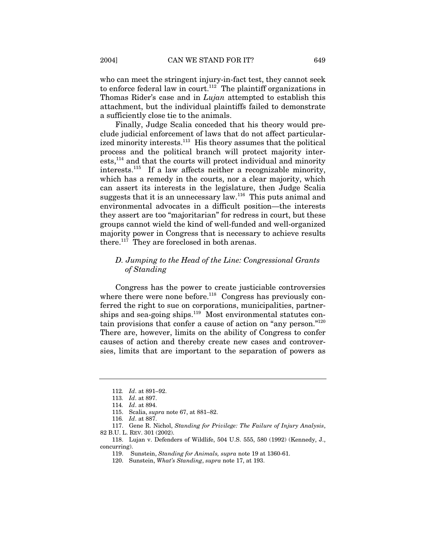who can meet the stringent injury-in-fact test, they cannot seek to enforce federal law in court.<sup>112</sup> The plaintiff organizations in Thomas Rider's case and in *Lujan* attempted to establish this attachment, but the individual plaintiffs failed to demonstrate a sufficiently close tie to the animals.

Finally, Judge Scalia conceded that his theory would preclude judicial enforcement of laws that do not affect particularized minority interests.<sup>113</sup> His theory assumes that the political process and the political branch will protect majority interests,114 and that the courts will protect individual and minority interests.<sup>115</sup> If a law affects neither a recognizable minority, which has a remedy in the courts, nor a clear majority, which can assert its interests in the legislature, then Judge Scalia suggests that it is an unnecessary law.<sup>116</sup> This puts animal and environmental advocates in a difficult position—the interests they assert are too "majoritarian" for redress in court, but these groups cannot wield the kind of well-funded and well-organized majority power in Congress that is necessary to achieve results there.<sup>117</sup> They are foreclosed in both arenas.

# *D. Jumping to the Head of the Line: Congressional Grants of Standing*

Congress has the power to create justiciable controversies where there were none before.<sup>118</sup> Congress has previously conferred the right to sue on corporations, municipalities, partnerships and sea-going ships.<sup>119</sup> Most environmental statutes contain provisions that confer a cause of action on "any person."120 There are, however, limits on the ability of Congress to confer causes of action and thereby create new cases and controversies, limits that are important to the separation of powers as

<sup>112</sup>*. Id*. at 891–92.

<sup>113</sup>*. Id*. at 897.

<sup>114</sup>*. Id*. at 894.

<sup>115.</sup> Scalia, *supra* note 67, at 881–82.

<sup>116</sup>*. Id*. at 887.

<sup>117.</sup> Gene R. Nichol, *Standing for Privilege: The Failure of Injury Analysis*, 82 B.U. L. REV. 301 (2002).

<sup>118.</sup> Lujan v. Defenders of Wildlife, 504 U.S. 555, 580 (1992) (Kennedy, J., concurring).

<sup>119.</sup> Sunstein, *Standing for Animals, supra* note 19 at 1360-61.

<sup>120.</sup> Sunstein, *What's Standing*, *supra* note 17, at 193.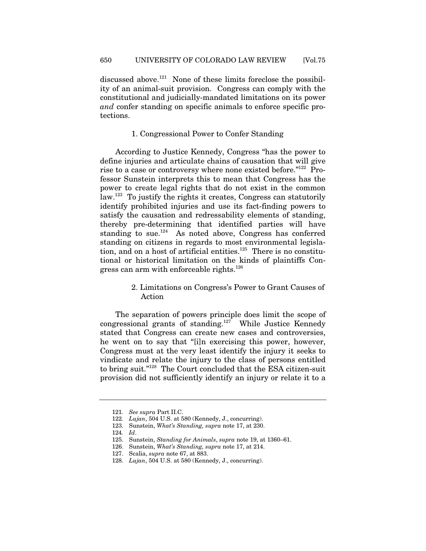discussed above.<sup>121</sup> None of these limits foreclose the possibility of an animal-suit provision. Congress can comply with the constitutional and judicially-mandated limitations on its power *and* confer standing on specific animals to enforce specific protections.

### 1. Congressional Power to Confer Standing

According to Justice Kennedy, Congress "has the power to define injuries and articulate chains of causation that will give rise to a case or controversy where none existed before."<sup>122</sup> Professor Sunstein interprets this to mean that Congress has the power to create legal rights that do not exist in the common law.123 To justify the rights it creates, Congress can statutorily identify prohibited injuries and use its fact-finding powers to satisfy the causation and redressability elements of standing, thereby pre-determining that identified parties will have standing to sue.<sup>124</sup> As noted above, Congress has conferred standing on citizens in regards to most environmental legislation, and on a host of artificial entities.<sup>125</sup> There is no constitutional or historical limitation on the kinds of plaintiffs Congress can arm with enforceable rights. $126$ 

# 2. Limitations on Congress's Power to Grant Causes of Action

The separation of powers principle does limit the scope of congressional grants of standing.<sup>127</sup> While Justice Kennedy stated that Congress can create new cases and controversies, he went on to say that "[i]n exercising this power, however, Congress must at the very least identify the injury it seeks to vindicate and relate the injury to the class of persons entitled to bring suit."128 The Court concluded that the ESA citizen-suit provision did not sufficiently identify an injury or relate it to a

<sup>121</sup>*. See supra* Part II.C.

<sup>122</sup>*. Lujan*, 504 U.S. at 580 (Kennedy, J., concurring).

<sup>123.</sup> Sunstein, *What's Standing, supra* note 17, at 230.

<sup>124</sup>*. Id*.

<sup>125.</sup> Sunstein, *Standing for Animals*, *supra* note 19, at 1360–61.

<sup>126.</sup> Sunstein, *What's Standing, supra* note 17, at 214.

<sup>127.</sup> Scalia, *supra* note 67, at 883.

<sup>128</sup>*. Lujan*, 504 U.S. at 580 (Kennedy, J., concurring).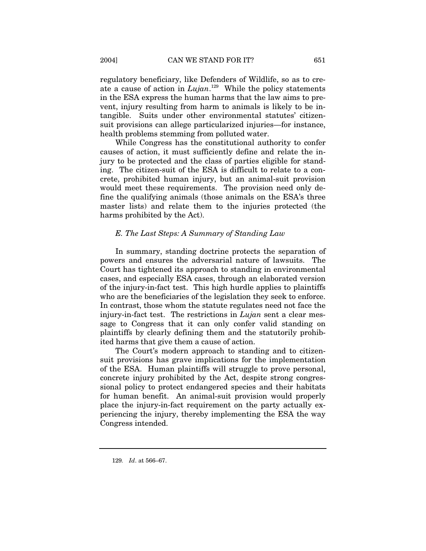regulatory beneficiary, like Defenders of Wildlife, so as to create a cause of action in *Lujan*. 129 While the policy statements in the ESA express the human harms that the law aims to prevent, injury resulting from harm to animals is likely to be intangible. Suits under other environmental statutes' citizensuit provisions can allege particularized injuries—for instance, health problems stemming from polluted water.

While Congress has the constitutional authority to confer causes of action, it must sufficiently define and relate the injury to be protected and the class of parties eligible for standing. The citizen-suit of the ESA is difficult to relate to a concrete, prohibited human injury, but an animal-suit provision would meet these requirements. The provision need only define the qualifying animals (those animals on the ESA's three master lists) and relate them to the injuries protected (the harms prohibited by the Act).

# *E. The Last Steps: A Summary of Standing Law*

In summary, standing doctrine protects the separation of powers and ensures the adversarial nature of lawsuits. The Court has tightened its approach to standing in environmental cases, and especially ESA cases, through an elaborated version of the injury-in-fact test. This high hurdle applies to plaintiffs who are the beneficiaries of the legislation they seek to enforce. In contrast, those whom the statute regulates need not face the injury-in-fact test. The restrictions in *Lujan* sent a clear message to Congress that it can only confer valid standing on plaintiffs by clearly defining them and the statutorily prohibited harms that give them a cause of action.

The Court's modern approach to standing and to citizensuit provisions has grave implications for the implementation of the ESA. Human plaintiffs will struggle to prove personal, concrete injury prohibited by the Act, despite strong congressional policy to protect endangered species and their habitats for human benefit. An animal-suit provision would properly place the injury-in-fact requirement on the party actually experiencing the injury, thereby implementing the ESA the way Congress intended.

<sup>129</sup>*. Id*. at 566–67.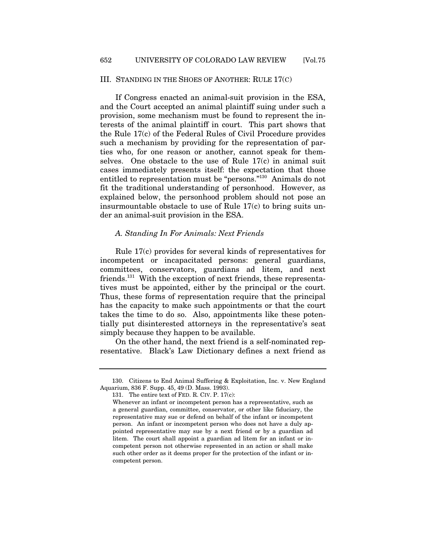#### III. STANDING IN THE SHOES OF ANOTHER: RULE 17(C)

If Congress enacted an animal-suit provision in the ESA, and the Court accepted an animal plaintiff suing under such a provision, some mechanism must be found to represent the interests of the animal plaintiff in court. This part shows that the Rule 17(c) of the Federal Rules of Civil Procedure provides such a mechanism by providing for the representation of parties who, for one reason or another, cannot speak for themselves. One obstacle to the use of Rule 17(c) in animal suit cases immediately presents itself: the expectation that those entitled to representation must be "persons."130 Animals do not fit the traditional understanding of personhood. However, as explained below, the personhood problem should not pose an insurmountable obstacle to use of Rule 17(c) to bring suits under an animal-suit provision in the ESA.

### *A. Standing In For Animals: Next Friends*

Rule 17(c) provides for several kinds of representatives for incompetent or incapacitated persons: general guardians, committees, conservators, guardians ad litem, and next friends.131 With the exception of next friends, these representatives must be appointed, either by the principal or the court. Thus, these forms of representation require that the principal has the capacity to make such appointments or that the court takes the time to do so. Also, appointments like these potentially put disinterested attorneys in the representative's seat simply because they happen to be available.

On the other hand, the next friend is a self-nominated representative. Black's Law Dictionary defines a next friend as

<sup>130.</sup> Citizens to End Animal Suffering & Exploitation, Inc. v. New England Aquarium, 836 F. Supp. 45, 49 (D. Mass. 1993).

<sup>131.</sup> The entire text of FED. R. CIV. P. 17(c):

Whenever an infant or incompetent person has a representative, such as a general guardian, committee, conservator, or other like fiduciary, the representative may sue or defend on behalf of the infant or incompetent person. An infant or incompetent person who does not have a duly appointed representative may sue by a next friend or by a guardian ad litem. The court shall appoint a guardian ad litem for an infant or incompetent person not otherwise represented in an action or shall make such other order as it deems proper for the protection of the infant or incompetent person.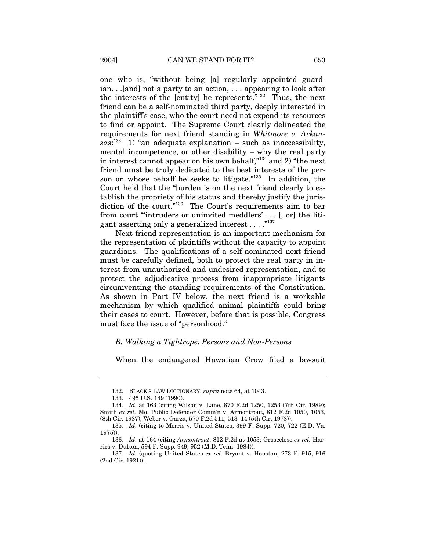one who is, "without being [a] regularly appointed guardian. . .[and] not a party to an action, . . . appearing to look after the interests of the [entity] he represents."132 Thus, the next friend can be a self-nominated third party, deeply interested in the plaintiff's case, who the court need not expend its resources to find or appoint. The Supreme Court clearly delineated the requirements for next friend standing in *Whitmore v. Arkan* $sas:$ <sup>133</sup> 1) "an adequate explanation – such as inaccessibility, mental incompetence, or other disability – why the real party in interest cannot appear on his own behalf,"134 and 2) "the next friend must be truly dedicated to the best interests of the person on whose behalf he seeks to litigate."135 In addition, the Court held that the "burden is on the next friend clearly to establish the propriety of his status and thereby justify the jurisdiction of the court."<sup>136</sup> The Court's requirements aim to bar from court "'intruders or uninvited meddlers' . . . [, or] the litigant asserting only a generalized interest  $\dots$ ."<sup>137</sup>

Next friend representation is an important mechanism for the representation of plaintiffs without the capacity to appoint guardians. The qualifications of a self-nominated next friend must be carefully defined, both to protect the real party in interest from unauthorized and undesired representation, and to protect the adjudicative process from inappropriate litigants circumventing the standing requirements of the Constitution. As shown in Part IV below, the next friend is a workable mechanism by which qualified animal plaintiffs could bring their cases to court. However, before that is possible, Congress must face the issue of "personhood."

### *B. Walking a Tightrope: Persons and Non-Persons*

When the endangered Hawaiian Crow filed a lawsuit

<sup>132.</sup> BLACK'S LAW DICTIONARY, *supra* note 64, at 1043.

<sup>133. 495</sup> U.S. 149 (1990).

<sup>134</sup>*. Id*. at 163 (citing Wilson v. Lane, 870 F.2d 1250, 1253 (7th Cir. 1989); Smith *ex rel.* Mo. Public Defender Comm'n v. Armontrout, 812 F.2d 1050, 1053, (8th Cir. 1987); Weber v. Garza, 570 F.2d 511, 513–14 (5th Cir. 1978)).

<sup>135</sup>*. Id*. (citing to Morris v. United States, 399 F. Supp. 720, 722 (E.D. Va. 1975)).

<sup>136</sup>*. Id*. at 164 (citing *Armontrout*, 812 F.2d at 1053; Groseclose *ex rel.* Harries v. Dutton, 594 F. Supp. 949, 952 (M.D. Tenn. 1984)).

<sup>137</sup>*. Id*. (quoting United States *ex rel.* Bryant v. Houston, 273 F. 915, 916 (2nd Cir. 1921)).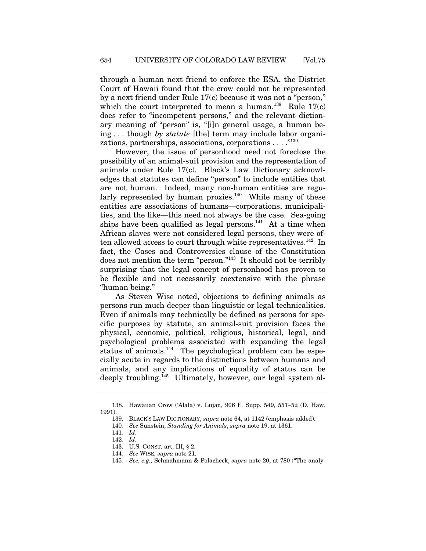through a human next friend to enforce the ESA, the District Court of Hawaii found that the crow could not be represented by a next friend under Rule 17(c) because it was not a "person," which the court interpreted to mean a human.<sup>138</sup> Rule  $17(c)$ does refer to "incompetent persons," and the relevant dictionary meaning of "person" is, "[i]n general usage, a human being . . . though *by statute* [the] term may include labor organizations, partnerships, associations, corporations . . . . "<sup>139</sup>

However, the issue of personhood need not foreclose the possibility of an animal-suit provision and the representation of animals under Rule 17(c). Black's Law Dictionary acknowledges that statutes can define "person" to include entities that are not human. Indeed, many non-human entities are regularly represented by human proxies. $140$  While many of these entities are associations of humans—corporations, municipalities, and the like—this need not always be the case. Sea-going ships have been qualified as legal persons. $141$  At a time when African slaves were not considered legal persons, they were often allowed access to court through white representatives.<sup>142</sup> In fact, the Cases and Controversies clause of the Constitution does not mention the term "person."143 It should not be terribly surprising that the legal concept of personhood has proven to be flexible and not necessarily coextensive with the phrase "human being."

As Steven Wise noted, objections to defining animals as persons run much deeper than linguistic or legal technicalities. Even if animals may technically be defined as persons for specific purposes by statute, an animal-suit provision faces the physical, economic, political, religious, historical, legal, and psychological problems associated with expanding the legal status of animals.<sup>144</sup> The psychological problem can be especially acute in regards to the distinctions between humans and animals, and any implications of equality of status can be deeply troubling.<sup>145</sup> Ultimately, however, our legal system al-

<sup>138.</sup> Hawaiian Crow ('Alala) v. Lujan, 906 F. Supp. 549, 551–52 (D. Haw. 1991).

<sup>139.</sup> BLACK'S LAW DICTIONARY, *supra* note 64, at 1142 (emphasis added).

<sup>140</sup>*. See* Sunstein, *Standing for Animals*, *supra* note 19, at 1361.

<sup>141</sup>*. Id*.

<sup>142</sup>*. Id*.

<sup>143.</sup> U.S. CONST. art. III, § 2.

<sup>144</sup>*. See* WISE*, supra* note 21.

<sup>145</sup>*. See, e.g.,* Schmahmann & Polacheck, *supra* note 20, at 780 ("The analy-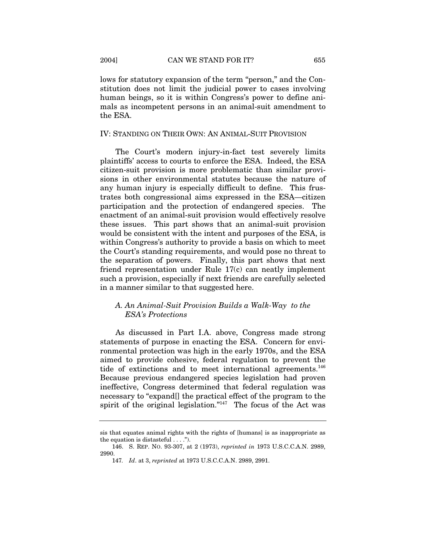lows for statutory expansion of the term "person," and the Constitution does not limit the judicial power to cases involving human beings, so it is within Congress's power to define animals as incompetent persons in an animal-suit amendment to the ESA.

# IV: STANDING ON THEIR OWN: AN ANIMAL-SUIT PROVISION

The Court's modern injury-in-fact test severely limits plaintiffs' access to courts to enforce the ESA. Indeed, the ESA citizen-suit provision is more problematic than similar provisions in other environmental statutes because the nature of any human injury is especially difficult to define. This frustrates both congressional aims expressed in the ESA—citizen participation and the protection of endangered species. The enactment of an animal-suit provision would effectively resolve these issues. This part shows that an animal-suit provision would be consistent with the intent and purposes of the ESA, is within Congress's authority to provide a basis on which to meet the Court's standing requirements, and would pose no threat to the separation of powers. Finally, this part shows that next friend representation under Rule 17(c) can neatly implement such a provision, especially if next friends are carefully selected in a manner similar to that suggested here.

# *A. An Animal-Suit Provision Builds a Walk-Way to the ESA's Protections*

As discussed in Part I.A. above, Congress made strong statements of purpose in enacting the ESA. Concern for environmental protection was high in the early 1970s, and the ESA aimed to provide cohesive, federal regulation to prevent the tide of extinctions and to meet international agreements.<sup>146</sup> Because previous endangered species legislation had proven ineffective, Congress determined that federal regulation was necessary to "expand[] the practical effect of the program to the spirit of the original legislation."<sup>147</sup> The focus of the Act was

sis that equates animal rights with the rights of [humans] is as inappropriate as the equation is distasteful  $\dots$ .").

<sup>146.</sup> S. REP. NO. 93-307, at 2 (1973), *reprinted in* 1973 U.S.C.C.A.N. 2989, 2990.

<sup>147</sup>*. Id*. at 3, *reprinted* at 1973 U.S.C.C.A.N. 2989, 2991.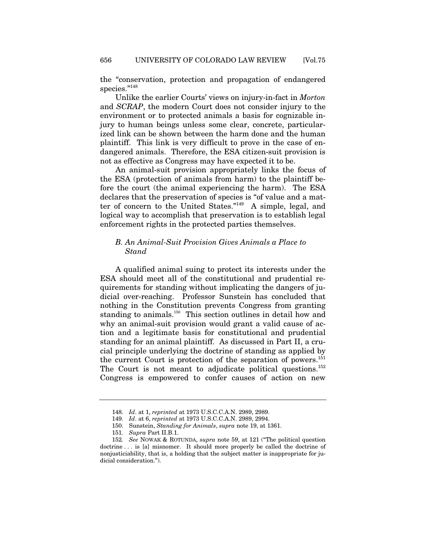the "conservation, protection and propagation of endangered species."<sup>148</sup>

Unlike the earlier Courts' views on injury-in-fact in *Morton*  and *SCRAP*, the modern Court does not consider injury to the environment or to protected animals a basis for cognizable injury to human beings unless some clear, concrete, particularized link can be shown between the harm done and the human plaintiff. This link is very difficult to prove in the case of endangered animals. Therefore, the ESA citizen-suit provision is not as effective as Congress may have expected it to be.

An animal-suit provision appropriately links the focus of the ESA (protection of animals from harm) to the plaintiff before the court (the animal experiencing the harm). The ESA declares that the preservation of species is "of value and a matter of concern to the United States."149 A simple, legal, and logical way to accomplish that preservation is to establish legal enforcement rights in the protected parties themselves.

# *B. An Animal-Suit Provision Gives Animals a Place to Stand*

A qualified animal suing to protect its interests under the ESA should meet all of the constitutional and prudential requirements for standing without implicating the dangers of judicial over-reaching. Professor Sunstein has concluded that nothing in the Constitution prevents Congress from granting standing to animals.<sup>150</sup> This section outlines in detail how and why an animal-suit provision would grant a valid cause of action and a legitimate basis for constitutional and prudential standing for an animal plaintiff. As discussed in Part II, a crucial principle underlying the doctrine of standing as applied by the current Court is protection of the separation of powers.<sup>151</sup> The Court is not meant to adjudicate political questions.<sup>152</sup> Congress is empowered to confer causes of action on new

<sup>148</sup>*. Id*. at 1, *reprinted* at 1973 U.S.C.C.A.N. 2989, 2989.

<sup>149</sup>*. Id*. at 6, *reprinted* at 1973 U.S.C.C.A.N. 2989, 2994.

<sup>150.</sup> Sunstein, *Standing for Animals*, *supra* note 19, at 1361.

<sup>151</sup>*. Supra* Part II.B.1.

<sup>152</sup>*. See* NOWAK & ROTUNDA, *supra* note 59, at 121 ("The political question doctrine . . . is [a] misnomer. It should more properly be called the doctrine of nonjusticiability, that is, a holding that the subject matter is inappropriate for judicial consideration.").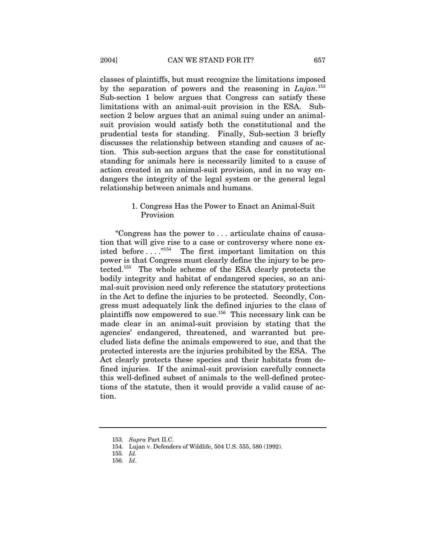classes of plaintiffs, but must recognize the limitations imposed by the separation of powers and the reasoning in *Lujan*. <sup>153</sup> Sub-section 1 below argues that Congress can satisfy these limitations with an animal-suit provision in the ESA. Subsection 2 below argues that an animal suing under an animalsuit provision would satisfy both the constitutional and the prudential tests for standing. Finally, Sub-section 3 briefly discusses the relationship between standing and causes of action. This sub-section argues that the case for constitutional standing for animals here is necessarily limited to a cause of action created in an animal-suit provision, and in no way endangers the integrity of the legal system or the general legal relationship between animals and humans.

## 1. Congress Has the Power to Enact an Animal-Suit Provision

"Congress has the power to . . . articulate chains of causation that will give rise to a case or controversy where none existed before  $\dots$ ."<sup>154</sup> The first important limitation on this power is that Congress must clearly define the injury to be protected.155 The whole scheme of the ESA clearly protects the bodily integrity and habitat of endangered species, so an animal-suit provision need only reference the statutory protections in the Act to define the injuries to be protected. Secondly, Congress must adequately link the defined injuries to the class of plaintiffs now empowered to sue.<sup>156</sup> This necessary link can be made clear in an animal-suit provision by stating that the agencies' endangered, threatened, and warranted but precluded lists define the animals empowered to sue, and that the protected interests are the injuries prohibited by the ESA. The Act clearly protects these species and their habitats from defined injuries. If the animal-suit provision carefully connects this well-defined subset of animals to the well-defined protections of the statute, then it would provide a valid cause of action.

<sup>153</sup>*. Supra* Part II.C.

<sup>154.</sup> Lujan v. Defenders of Wildlife, 504 U.S. 555, 580 (1992).

<sup>155</sup>*. Id.*

<sup>156</sup>*. Id*.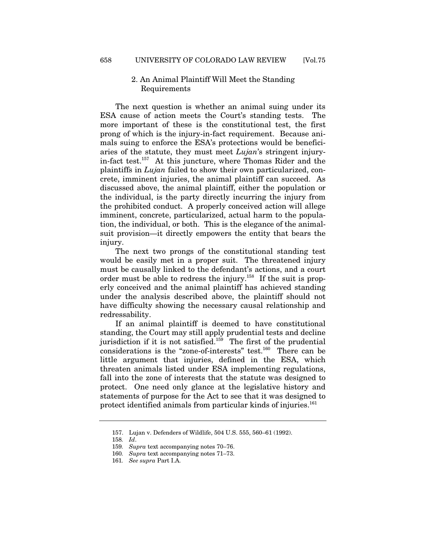# 2. An Animal Plaintiff Will Meet the Standing Requirements

The next question is whether an animal suing under its ESA cause of action meets the Court's standing tests. The more important of these is the constitutional test, the first prong of which is the injury-in-fact requirement. Because animals suing to enforce the ESA's protections would be beneficiaries of the statute, they must meet *Lujan*'s stringent injuryin-fact test.157 At this juncture, where Thomas Rider and the plaintiffs in *Lujan* failed to show their own particularized, concrete, imminent injuries, the animal plaintiff can succeed. As discussed above, the animal plaintiff, either the population or the individual, is the party directly incurring the injury from the prohibited conduct. A properly conceived action will allege imminent, concrete, particularized, actual harm to the population, the individual, or both. This is the elegance of the animalsuit provision—it directly empowers the entity that bears the injury.

The next two prongs of the constitutional standing test would be easily met in a proper suit. The threatened injury must be causally linked to the defendant's actions, and a court order must be able to redress the injury.<sup>158</sup> If the suit is properly conceived and the animal plaintiff has achieved standing under the analysis described above, the plaintiff should not have difficulty showing the necessary causal relationship and redressability.

If an animal plaintiff is deemed to have constitutional standing, the Court may still apply prudential tests and decline jurisdiction if it is not satisfied.<sup>159</sup> The first of the prudential considerations is the "zone-of-interests" test.160 There can be little argument that injuries, defined in the ESA, which threaten animals listed under ESA implementing regulations, fall into the zone of interests that the statute was designed to protect. One need only glance at the legislative history and statements of purpose for the Act to see that it was designed to protect identified animals from particular kinds of injuries.<sup>161</sup>

<sup>157.</sup> Lujan v. Defenders of Wildlife, 504 U.S. 555, 560–61 (1992).

<sup>158</sup>*. Id*.

<sup>159</sup>*. Supra* text accompanying notes 70–76.

<sup>160</sup>*. Supra* text accompanying notes 71–73.

<sup>161</sup>*. See supra* Part I.A.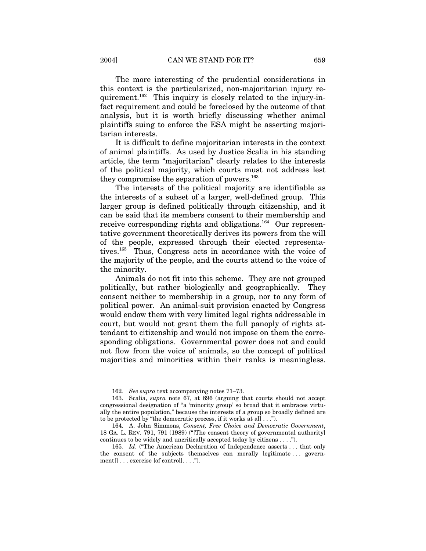The more interesting of the prudential considerations in this context is the particularized, non-majoritarian injury requirement.162 This inquiry is closely related to the injury-infact requirement and could be foreclosed by the outcome of that analysis, but it is worth briefly discussing whether animal plaintiffs suing to enforce the ESA might be asserting majoritarian interests.

It is difficult to define majoritarian interests in the context of animal plaintiffs. As used by Justice Scalia in his standing article, the term "majoritarian" clearly relates to the interests of the political majority, which courts must not address lest they compromise the separation of powers.<sup>163</sup>

The interests of the political majority are identifiable as the interests of a subset of a larger, well-defined group. This larger group is defined politically through citizenship, and it can be said that its members consent to their membership and receive corresponding rights and obligations.<sup>164</sup> Our representative government theoretically derives its powers from the will of the people, expressed through their elected representatives.165 Thus, Congress acts in accordance with the voice of the majority of the people, and the courts attend to the voice of the minority.

Animals do not fit into this scheme. They are not grouped politically, but rather biologically and geographically. They consent neither to membership in a group, nor to any form of political power. An animal-suit provision enacted by Congress would endow them with very limited legal rights addressable in court, but would not grant them the full panoply of rights attendant to citizenship and would not impose on them the corresponding obligations. Governmental power does not and could not flow from the voice of animals, so the concept of political majorities and minorities within their ranks is meaningless.

<sup>162</sup>*. See supra* text accompanying notes 71–73.

<sup>163.</sup> Scalia, *supra* note 67, at 896 (arguing that courts should not accept congressional designation of "a 'minority group' so broad that it embraces virtually the entire population," because the interests of a group so broadly defined are to be protected by "the democratic process, if it works at all . . .").

<sup>164.</sup> A. John Simmons, *Consent, Free Choice and Democratic Government*, 18 GA. L. REV. 791, 791 (1989) ("[The consent theory of governmental authority] continues to be widely and uncritically accepted today by citizens . . . .").

<sup>165</sup>*. Id*. ("The American Declaration of Independence asserts . . . that only the consent of the subjects themselves can morally legitimate . . . government[] . . . exercise [of control]. . . .").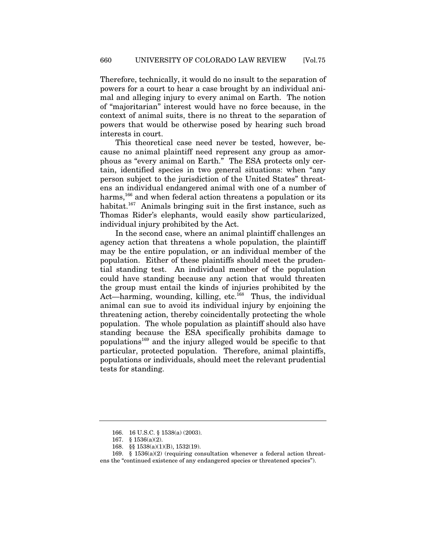Therefore, technically, it would do no insult to the separation of powers for a court to hear a case brought by an individual animal and alleging injury to every animal on Earth. The notion of "majoritarian" interest would have no force because, in the context of animal suits, there is no threat to the separation of powers that would be otherwise posed by hearing such broad interests in court.

This theoretical case need never be tested, however, because no animal plaintiff need represent any group as amorphous as "every animal on Earth." The ESA protects only certain, identified species in two general situations: when "any person subject to the jurisdiction of the United States" threatens an individual endangered animal with one of a number of harms,<sup>166</sup> and when federal action threatens a population or its habitat.<sup>167</sup> Animals bringing suit in the first instance, such as Thomas Rider's elephants, would easily show particularized, individual injury prohibited by the Act.

In the second case, where an animal plaintiff challenges an agency action that threatens a whole population, the plaintiff may be the entire population, or an individual member of the population. Either of these plaintiffs should meet the prudential standing test. An individual member of the population could have standing because any action that would threaten the group must entail the kinds of injuries prohibited by the Act—harming, wounding, killing, etc.<sup>168</sup> Thus, the individual animal can sue to avoid its individual injury by enjoining the threatening action, thereby coincidentally protecting the whole population. The whole population as plaintiff should also have standing because the ESA specifically prohibits damage to populations169 and the injury alleged would be specific to that particular, protected population. Therefore, animal plaintiffs, populations or individuals, should meet the relevant prudential tests for standing.

<sup>166. 16</sup> U.S.C. § 1538(a) (2003).

<sup>167. § 1536(</sup>a)(2).

<sup>168. §§ 1538(</sup>a)(1)(B), 1532(19).

<sup>169.</sup>  $§$  1536(a)(2) (requiring consultation whenever a federal action threatens the "continued existence of any endangered species or threatened species").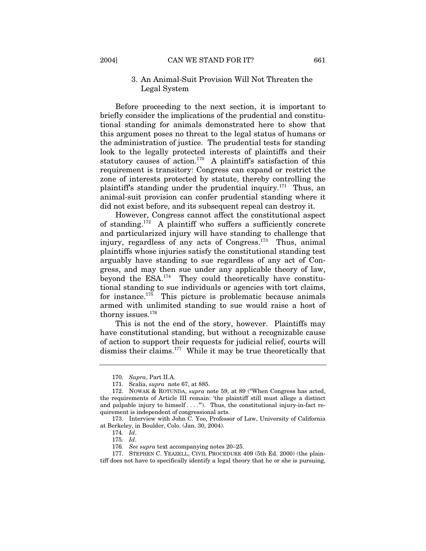# 3. An Animal-Suit Provision Will Not Threaten the Legal System

Before proceeding to the next section, it is important to briefly consider the implications of the prudential and constitutional standing for animals demonstrated here to show that this argument poses no threat to the legal status of humans or the administration of justice. The prudential tests for standing look to the legally protected interests of plaintiffs and their statutory causes of action.<sup>170</sup> A plaintiff's satisfaction of this requirement is transitory: Congress can expand or restrict the zone of interests protected by statute, thereby controlling the plaintiff's standing under the prudential inquiry.<sup>171</sup> Thus, an animal-suit provision can confer prudential standing where it did not exist before, and its subsequent repeal can destroy it.

However, Congress cannot affect the constitutional aspect of standing.<sup>172</sup> A plaintiff who suffers a sufficiently concrete and particularized injury will have standing to challenge that injury, regardless of any acts of Congress.<sup>173</sup> Thus, animal plaintiffs whose injuries satisfy the constitutional standing test arguably have standing to sue regardless of any act of Congress, and may then sue under any applicable theory of law, beyond the  $ESA$ <sup>174</sup> They could theoretically have constitutional standing to sue individuals or agencies with tort claims, for instance.<sup>175</sup> This picture is problematic because animals armed with unlimited standing to sue would raise a host of thorny issues.<sup>176</sup>

This is not the end of the story, however. Plaintiffs may have constitutional standing, but without a recognizable cause of action to support their requests for judicial relief, courts will dismiss their claims.<sup>177</sup> While it may be true theoretically that

<sup>170</sup>*. Supra*, Part II.A.

<sup>171.</sup> Scalia, *supra* note 67, at 885.

<sup>172.</sup> NOWAK & ROTUNDA, *supra* note 59, at 89 ("When Congress has acted, the requirements of Article III remain: 'the plaintiff still must allege a distinct and palpable injury to himself  $\dots$ ."). Thus, the constitutional injury-in-fact requirement is independent of congressional acts.

<sup>173.</sup> Interview with John C. Yoo, Professor of Law, University of California at Berkeley, in Boulder, Colo. (Jan. 30, 2004).

<sup>174</sup>*. Id*.

<sup>175</sup>*. Id*.

<sup>176</sup>*. See supra* text accompanying notes 20–25.

<sup>177.</sup> STEPHEN C. YEAZELL, CIVIL PROCEDURE 409 (5th Ed. 2000) (the plaintiff does not have to specifically identify a legal theory that he or she is pursuing,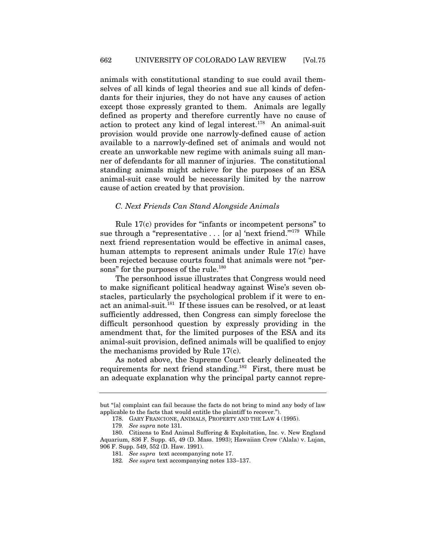animals with constitutional standing to sue could avail themselves of all kinds of legal theories and sue all kinds of defendants for their injuries, they do not have any causes of action except those expressly granted to them. Animals are legally defined as property and therefore currently have no cause of action to protect any kind of legal interest.<sup>178</sup> An animal-suit provision would provide one narrowly-defined cause of action available to a narrowly-defined set of animals and would not create an unworkable new regime with animals suing all manner of defendants for all manner of injuries. The constitutional standing animals might achieve for the purposes of an ESA animal-suit case would be necessarily limited by the narrow cause of action created by that provision.

# *C. Next Friends Can Stand Alongside Animals*

Rule 17(c) provides for "infants or incompetent persons" to sue through a "representative  $\ldots$  [or a] 'next friend."<sup>179</sup> While next friend representation would be effective in animal cases, human attempts to represent animals under Rule 17(c) have been rejected because courts found that animals were not "persons" for the purposes of the rule.<sup>180</sup>

The personhood issue illustrates that Congress would need to make significant political headway against Wise's seven obstacles, particularly the psychological problem if it were to enact an animal-suit.<sup>181</sup> If these issues can be resolved, or at least sufficiently addressed, then Congress can simply foreclose the difficult personhood question by expressly providing in the amendment that, for the limited purposes of the ESA and its animal-suit provision, defined animals will be qualified to enjoy the mechanisms provided by Rule 17(c).

As noted above, the Supreme Court clearly delineated the requirements for next friend standing.182 First, there must be an adequate explanation why the principal party cannot repre-

but "[a] complaint can fail because the facts do not bring to mind any body of law applicable to the facts that would entitle the plaintiff to recover.").

<sup>178.</sup> GARY FRANCIONE, ANIMALS, PROPERTY AND THE LAW 4 (1995).

<sup>179</sup>*. See supra* note 131.

<sup>180.</sup> Citizens to End Animal Suffering & Exploitation, Inc. v. New England Aquarium, 836 F. Supp. 45, 49 (D. Mass. 1993); Hawaiian Crow ('Alala) v. Lujan, 906 F. Supp. 549, 552 (D. Haw. 1991).

<sup>181</sup>*. See supra* text accompanying note 17.

<sup>182</sup>*. See supra* text accompanying notes 133–137.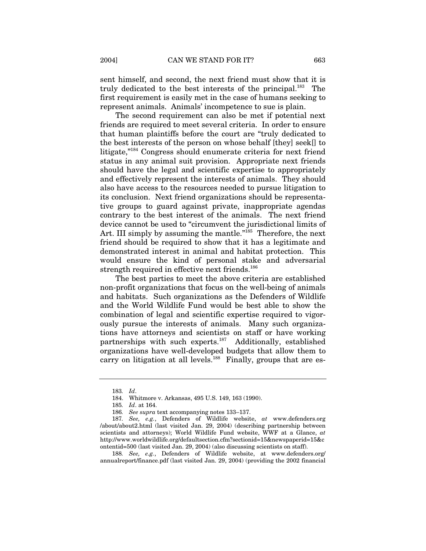sent himself, and second, the next friend must show that it is truly dedicated to the best interests of the principal.183 The first requirement is easily met in the case of humans seeking to represent animals. Animals' incompetence to sue is plain.

The second requirement can also be met if potential next friends are required to meet several criteria. In order to ensure that human plaintiffs before the court are "truly dedicated to the best interests of the person on whose behalf [they] seek[] to litigate,"184 Congress should enumerate criteria for next friend status in any animal suit provision. Appropriate next friends should have the legal and scientific expertise to appropriately and effectively represent the interests of animals. They should also have access to the resources needed to pursue litigation to its conclusion. Next friend organizations should be representative groups to guard against private, inappropriate agendas contrary to the best interest of the animals. The next friend device cannot be used to "circumvent the jurisdictional limits of Art. III simply by assuming the mantle."185 Therefore, the next friend should be required to show that it has a legitimate and demonstrated interest in animal and habitat protection. This would ensure the kind of personal stake and adversarial strength required in effective next friends.<sup>186</sup>

The best parties to meet the above criteria are established non-profit organizations that focus on the well-being of animals and habitats. Such organizations as the Defenders of Wildlife and the World Wildlife Fund would be best able to show the combination of legal and scientific expertise required to vigorously pursue the interests of animals. Many such organizations have attorneys and scientists on staff or have working partnerships with such experts.<sup>187</sup> Additionally, established organizations have well-developed budgets that allow them to carry on litigation at all levels.<sup>188</sup> Finally, groups that are es-

<sup>183</sup>*. Id*.

<sup>184.</sup> Whitmore v. Arkansas, 495 U.S. 149, 163 (1990).

<sup>185</sup>*. Id*. at 164.

<sup>186</sup>*. See supra* text accompanying notes 133–137.

<sup>187</sup>*. See, e.g.*, Defenders of Wildlife website, *at* www.defenders.org /about/about2.html (last visited Jan. 29, 2004) (describing partnership between scientists and attorneys); World Wildlife Fund website, WWF at a Glance, *at* http://www.worldwildlife.org/defaultsection.cfm?sectionid=15&newspaperid=15&c ontentid=500 (last visited Jan. 29, 2004) (also discussing scientists on staff).

<sup>188</sup>*. See, e.g.*, Defenders of Wildlife website, at www.defenders.org/ annualreport/finance.pdf (last visited Jan. 29, 2004) (providing the 2002 financial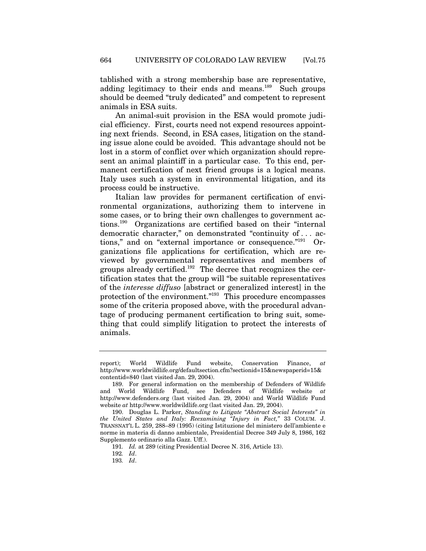tablished with a strong membership base are representative, adding legitimacy to their ends and means. $189$  Such groups should be deemed "truly dedicated" and competent to represent animals in ESA suits.

An animal-suit provision in the ESA would promote judicial efficiency. First, courts need not expend resources appointing next friends. Second, in ESA cases, litigation on the standing issue alone could be avoided. This advantage should not be lost in a storm of conflict over which organization should represent an animal plaintiff in a particular case. To this end, permanent certification of next friend groups is a logical means. Italy uses such a system in environmental litigation, and its process could be instructive.

Italian law provides for permanent certification of environmental organizations, authorizing them to intervene in some cases, or to bring their own challenges to government actions.190 Organizations are certified based on their "internal democratic character," on demonstrated "continuity of . . . actions," and on "external importance or consequence."191 Organizations file applications for certification, which are reviewed by governmental representatives and members of groups already certified.<sup>192</sup> The decree that recognizes the certification states that the group will "be suitable representatives of the *interesse diffuso* [abstract or generalized interest] in the protection of the environment."193 This procedure encompasses some of the criteria proposed above, with the procedural advantage of producing permanent certification to bring suit, something that could simplify litigation to protect the interests of animals.

report); World Wildlife Fund website, Conservation Finance, *at* http://www.worldwildlife.org/defaultsection.cfm?sectionid=15&newspaperid=15& contentid=840 (last visited Jan. 29, 2004).

<sup>189.</sup> For general information on the membership of Defenders of Wildlife and World Wildlife Fund, see Defenders of Wildlife website *at*  http://www.defenders.org (last visited Jan. 29, 2004) and World Wildlife Fund website *at* http://www.worldwildlife.org (last visited Jan. 29, 2004).

<sup>190.</sup> Douglas L. Parker, *Standing to Litigate "Abstract Social Interests" in the United States and Italy: Reexamining "Injury in Fact,"* 33 COLUM. J. TRANSNAT'L L. 259, 288–89 (1995) (citing Istituzione del ministero dell'ambiente e norme in materia di danno ambientale, Presidential Decree 349 July 8, 1986, 162 Supplemento ordinario alla Gazz. Uff.).

<sup>191</sup>*. Id.* at 289 (citing Presidential Decree N. 316, Article 13).

<sup>192</sup>*. Id*.

<sup>193</sup>*. Id*.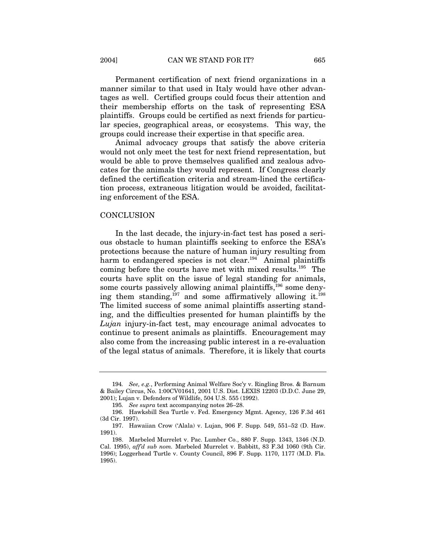Permanent certification of next friend organizations in a manner similar to that used in Italy would have other advantages as well. Certified groups could focus their attention and their membership efforts on the task of representing ESA plaintiffs. Groups could be certified as next friends for particular species, geographical areas, or ecosystems. This way, the groups could increase their expertise in that specific area.

Animal advocacy groups that satisfy the above criteria would not only meet the test for next friend representation, but would be able to prove themselves qualified and zealous advocates for the animals they would represent. If Congress clearly defined the certification criteria and stream-lined the certification process, extraneous litigation would be avoided, facilitating enforcement of the ESA.

#### **CONCLUSION**

In the last decade, the injury-in-fact test has posed a serious obstacle to human plaintiffs seeking to enforce the ESA's protections because the nature of human injury resulting from harm to endangered species is not clear.<sup>194</sup> Animal plaintiffs coming before the courts have met with mixed results.195 The courts have split on the issue of legal standing for animals, some courts passively allowing animal plaintiffs,<sup>196</sup> some denying them standing, $197$  and some affirmatively allowing it.<sup>198</sup> The limited success of some animal plaintiffs asserting standing, and the difficulties presented for human plaintiffs by the *Lujan* injury-in-fact test, may encourage animal advocates to continue to present animals as plaintiffs. Encouragement may also come from the increasing public interest in a re-evaluation of the legal status of animals. Therefore, it is likely that courts

<sup>194</sup>*. See, e.g.*, Performing Animal Welfare Soc'y v. Ringling Bros. & Barnum & Bailey Circus, No. 1:00CV01641, 2001 U.S. Dist. LEXIS 12203 (D.D.C. June 29, 2001); Lujan v. Defenders of Wildlife, 504 U.S. 555 (1992).

<sup>195</sup>*. See supra* text accompanying notes 26–28.

<sup>196.</sup> Hawksbill Sea Turtle v. Fed. Emergency Mgmt. Agency, 126 F.3d 461 (3d Cir. 1997).

<sup>197.</sup> Hawaiian Crow ('Alala) v. Lujan, 906 F. Supp. 549, 551–52 (D. Haw. 1991).

<sup>198.</sup> Marbeled Murrelet v. Pac. Lumber Co., 880 F. Supp. 1343, 1346 (N.D. Cal. 1995), *aff'd sub nom.* Marbeled Murrelet v. Babbitt, 83 F.3d 1060 (9th Cir. 1996); Loggerhead Turtle v. County Council, 896 F. Supp. 1170, 1177 (M.D. Fla. 1995).